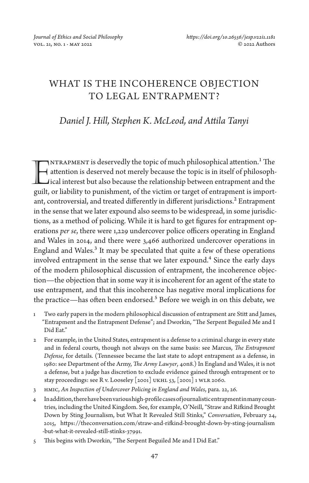# WHAT IS THE INCOHERENCE OBJECTION TO LEGAL ENTRAPMENT?

# *Daniel J. Hill, Stephen K. McLeod, and Attila Tanyi*

 $\gamma$ NTRAPMENT is deservedly the topic of much philosophical attention. $^1$  The attention is deserved not merely because the topic is in itself of philosoph-INTRAPMENT is deservedly the topic of much philosophical attention.<sup>1</sup> The attention is deserved not merely because the topic is in itself of philosophical interest but also because the relationship between entrapment and guilt, or liability to punishment, of the victim or target of entrapment is important, controversial, and treated differently in different jurisdictions.<sup>2</sup> Entrapment in the sense that we later expound also seems to be widespread, in some jurisdictions, as a method of policing. While it is hard to get figures for entrapment operations *per se*, there were 1,229 undercover police officers operating in England and Wales in 2014, and there were 3,466 authorized undercover operations in England and Wales.<sup>3</sup> It may be speculated that quite a few of these operations involved entrapment in the sense that we later expound.<sup>4</sup> Since the early days of the modern philosophical discussion of entrapment, the incoherence objection—the objection that in some way it is incoherent for an agent of the state to use entrapment, and that this incoherence has negative moral implications for the practice—has often been endorsed.<sup>5</sup> Before we weigh in on this debate, we

- 1 Two early papers in the modern philosophical discussion of entrapment are Stitt and James, "Entrapment and the Entrapment Defense"; and Dworkin, "The Serpent Beguiled Me and I Did Eat."
- 2 For example, in the United States, entrapment is a defense to a criminal charge in every state and in federal courts, though not always on the same basis: see Marcus, *The Entrapment Defense*, for details. (Tennessee became the last state to adopt entrapment as a defense, in 1980: see Department of the Army, *The Army Lawyer*, 40n8.) In England and Wales, it is not a defense, but a judge has discretion to exclude evidence gained through entrapment or to stay proceedings: see R v. Looseley [2001] UKHL 53, [2001] 1 WLR 2060.
- 3 HMIC, *An Inspection of Undercover Policing in England and Wales*, para. 22, 26.
- 4 In addition, there have been various high-profile cases of journalistic entrapment in many countries, including the United Kingdom. See, for example, O'Neill, "Straw and Rifkind Brought Down by Sting Journalism, but What It Revealed Still Stinks," *Conversation*, February 24, 2015, [https://theconversation.com/straw-and-rifkind-brought-down-by-sting-journalism](https://theconversation.com/straw-and-rifkind-brought-down-by-sting-journalism-but-what-it-revealed-still-stinks-37991) [-but-what-it-revealed-still-stinks-37991](https://theconversation.com/straw-and-rifkind-brought-down-by-sting-journalism-but-what-it-revealed-still-stinks-37991).
- 5 This begins with Dworkin, "The Serpent Beguiled Me and I Did Eat."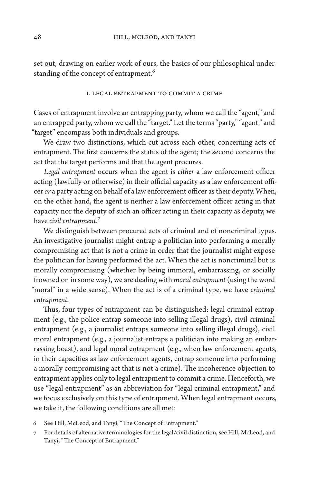set out, drawing on earlier work of ours, the basics of our philosophical understanding of the concept of entrapment.<sup>6</sup>

#### I. Legal Entrapment to Commit a Crime

Cases of entrapment involve an entrapping party, whom we call the "agent," and an entrapped party, whom we call the "target." Let the terms "party," "agent," and "target" encompass both individuals and groups.

We draw two distinctions, which cut across each other, concerning acts of entrapment. The first concerns the status of the agent; the second concerns the act that the target performs and that the agent procures.

*Legal entrapment* occurs when the agent is *either* a law enforcement officer acting (lawfully or otherwise) in their official capacity as a law enforcement officer *or* a party acting on behalf of a law enforcement officer as their deputy. When, on the other hand, the agent is neither a law enforcement officer acting in that capacity nor the deputy of such an officer acting in their capacity as deputy, we have *civil entrapment*.7

We distinguish between procured acts of criminal and of noncriminal types. An investigative journalist might entrap a politician into performing a morally compromising act that is not a crime in order that the journalist might expose the politician for having performed the act. When the act is noncriminal but is morally compromising (whether by being immoral, embarrassing, or socially frowned on in some way), we are dealing with *moral entrapment* (using the word "moral" in a wide sense). When the act is of a criminal type, we have *criminal entrapment*.

Thus, four types of entrapment can be distinguished: legal criminal entrapment (e.g., the police entrap someone into selling illegal drugs), civil criminal entrapment (e.g., a journalist entraps someone into selling illegal drugs), civil moral entrapment (e.g., a journalist entraps a politician into making an embarrassing boast), and legal moral entrapment (e.g., when law enforcement agents, in their capacities as law enforcement agents, entrap someone into performing a morally compromising act that is not a crime). The incoherence objection to entrapment applies only to legal entrapment to commit a crime. Henceforth, we use "legal entrapment" as an abbreviation for "legal criminal entrapment," and we focus exclusively on this type of entrapment. When legal entrapment occurs, we take it, the following conditions are all met:

- 6 See Hill, McLeod, and Tanyi, "The Concept of Entrapment."
- 7 For details of alternative terminologies for the legal/civil distinction, see Hill, McLeod, and Tanyi, "The Concept of Entrapment."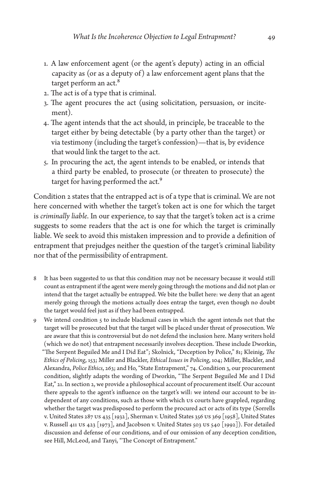- 1. A law enforcement agent (or the agent's deputy) acting in an official capacity as (or as a deputy of) a law enforcement agent plans that the target perform an act.<sup>8</sup>
- 2. The act is of a type that is criminal.
- 3. The agent procures the act (using solicitation, persuasion, or incitement).
- 4. The agent intends that the act should, in principle, be traceable to the target either by being detectable (by a party other than the target) or via testimony (including the target's confession)—that is, by evidence that would link the target to the act.
- 5. In procuring the act, the agent intends to be enabled, or intends that a third party be enabled, to prosecute (or threaten to prosecute) the target for having performed the act.<sup>9</sup>

Condition 2 states that the entrapped act is of a type that is criminal. We are not here concerned with whether the target's token act is one for which the target is *criminally liable*. In our experience, to say that the target's token act is a crime suggests to some readers that the act is one for which the target is criminally liable. We seek to avoid this mistaken impression and to provide a definition of entrapment that prejudges neither the question of the target's criminal liability nor that of the permissibility of entrapment.

- 8 It has been suggested to us that this condition may not be necessary because it would still count as entrapment if the agent were merely going through the motions and did not plan or intend that the target actually be entrapped. We bite the bullet here: we deny that an agent merely going through the motions actually does entrap the target, even though no doubt the target would feel just as if they had been entrapped.
- 9 We intend condition 5 to include blackmail cases in which the agent intends not that the target will be prosecuted but that the target will be placed under threat of prosecution. We are aware that this is controversial but do not defend the inclusion here. Many writers hold (which we do not) that entrapment necessarily involves deception. These include Dworkin, "The Serpent Beguiled Me and I Did Eat"; Skolnick, "Deception by Police," 81; Kleinig, *The Ethics of Policing*, 153; Miller and Blackler, *Ethical Issues in Policing*, 104; Miller, Blackler, and Alexandra, *Police Ethics*, 263; and Ho, "State Entrapment," 74. Condition 3, our procurement condition, slightly adapts the wording of Dworkin, "The Serpent Beguiled Me and I Did Eat," 21. In section 2, we provide a philosophical account of procurement itself. Our account there appeals to the agent's influence on the target's will: we intend our account to be independent of any conditions, such as those with which US courts have grappled, regarding whether the target was predisposed to perform the procured act or acts of its type (Sorrells v. United States 287 US 435 [1932], Sherman v. United States 356 US 369 [1958], United States v. Russell 411 US 423 [1973], and Jacobson v. United States 503 US 540 [1992]). For detailed discussion and defense of our conditions, and of our omission of any deception condition, see Hill, McLeod, and Tanyi, "The Concept of Entrapment."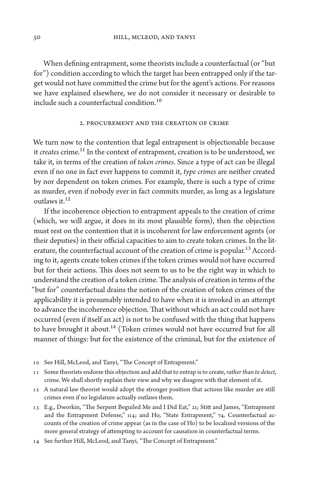When defining entrapment, some theorists include a counterfactual (or "but for") condition according to which the target has been entrapped only if the target would not have committed the crime but for the agent's actions. For reasons we have explained elsewhere, we do not consider it necessary or desirable to include such a counterfactual condition.10

#### 2. Procurement and the Creation of Crime

We turn now to the contention that legal entrapment is objectionable because it *creates* crime.<sup>11</sup> In the context of entrapment, creation is to be understood, we take it, in terms of the creation of *token crimes*. Since a type of act can be illegal even if no one in fact ever happens to commit it, *type crimes* are neither created by nor dependent on token crimes. For example, there is such a type of crime as murder, even if nobody ever in fact commits murder, as long as a legislature outlaws it. $12$ 

If the incoherence objection to entrapment appeals to the creation of crime (which, we will argue, it does in its most plausible form), then the objection must rest on the contention that it is incoherent for law enforcement agents (or their deputies) in their official capacities to aim to create token crimes. In the literature, the counterfactual account of the creation of crime is popular.<sup>13</sup> According to it, agents create token crimes if the token crimes would not have occurred but for their actions. This does not seem to us to be the right way in which to understand the creation of a token crime. The analysis of creation in terms of the "but for" counterfactual drains the notion of the creation of token crimes of the applicability it is presumably intended to have when it is invoked in an attempt to advance the incoherence objection. That without which an act could not have occurred (even if itself an act) is not to be confused with the thing that happens to have brought it about.<sup>14</sup> (Token crimes would not have occurred but for all manner of things: but for the existence of the criminal, but for the existence of

- 10 See Hill, McLeod, and Tanyi, "The Concept of Entrapment."
- 11 Some theorists endorse this objection and add that to entrap is to create, *rather than to detect*, crime. We shall shortly explain their view and why we disagree with that element of it.
- 12 A natural law theorist would adopt the stronger position that actions like murder are still crimes even if no legislature actually outlaws them.
- 13 E.g., Dworkin, "The Serpent Beguiled Me and I Did Eat," 21; Stitt and James, "Entrapment and the Entrapment Defense," 114; and Ho, "State Entrapment," 74. Counterfactual accounts of the creation of crime appear (as in the case of Ho) to be localized versions of the more general strategy of attempting to account for causation in counterfactual terms.
- 14 See further Hill, McLeod, and Tanyi, "The Concept of Entrapment."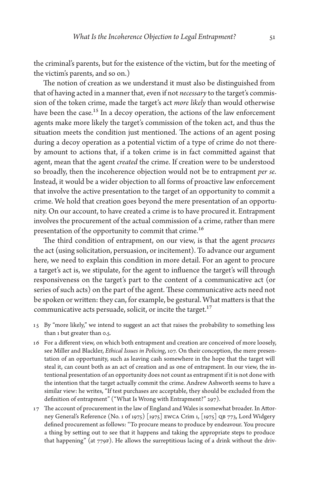the criminal's parents, but for the existence of the victim, but for the meeting of the victim's parents, and so on.)

The notion of creation as we understand it must also be distinguished from that of having acted in a manner that, even if not *necessary* to the target's commission of the token crime, made the target's act *more likely* than would otherwise have been the case.<sup>15</sup> In a decoy operation, the actions of the law enforcement agents make more likely the target's commission of the token act, and thus the situation meets the condition just mentioned. The actions of an agent posing during a decoy operation as a potential victim of a type of crime do not thereby amount to actions that, if a token crime is in fact committed against that agent, mean that the agent *created* the crime. If creation were to be understood so broadly, then the incoherence objection would not be to entrapment *per se*. Instead, it would be a wider objection to all forms of proactive law enforcement that involve the active presentation to the target of an opportunity to commit a crime. We hold that creation goes beyond the mere presentation of an opportunity. On our account, to have created a crime is to have procured it. Entrapment involves the procurement of the actual commission of a crime, rather than mere presentation of the opportunity to commit that crime.<sup>16</sup>

The third condition of entrapment, on our view, is that the agent *procures*  the act (using solicitation, persuasion, or incitement). To advance our argument here, we need to explain this condition in more detail. For an agent to procure a target's act is, we stipulate, for the agent to influence the target's will through responsiveness on the target's part to the content of a communicative act (or series of such acts) on the part of the agent. These communicative acts need not be spoken or written: they can, for example, be gestural. What matters is that the communicative acts persuade, solicit, or incite the target.<sup>17</sup>

- 15 By "more likely," we intend to suggest an act that raises the probability to something less than 1 but greater than 0.5.
- 16 For a different view, on which both entrapment and creation are conceived of more loosely, see Miller and Blackler, *Ethical Issues in Policing*, 107. On their conception, the mere presentation of an opportunity, such as leaving cash somewhere in the hope that the target will steal it, can count both as an act of creation and as one of entrapment. In our view, the intentional presentation of an opportunity does not count as entrapment if it is not done with the intention that the target actually commit the crime. Andrew Ashworth seems to have a similar view: he writes, "If test purchases are acceptable, they should be excluded from the definition of entrapment" ("What Is Wrong with Entrapment?" 297).
- 17 The account of procurement in the law of England and Wales is somewhat broader. In Attorney General's Reference (No. 1 of 1975) [1975] EWCA Crim 1, [1975] QB 773, Lord Widgery defined procurement as follows: "To procure means to produce by endeavour. You procure a thing by setting out to see that it happens and taking the appropriate steps to produce that happening" (at 779F). He allows the surreptitious lacing of a drink without the driv-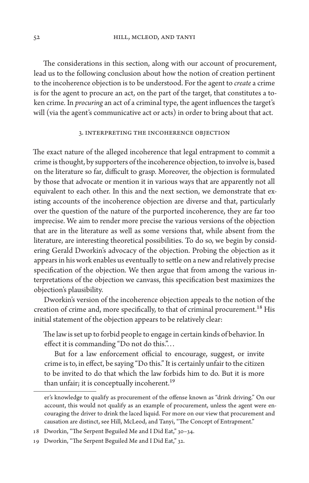The considerations in this section, along with our account of procurement, lead us to the following conclusion about how the notion of creation pertinent to the incoherence objection is to be understood. For the agent to *create* a crime is for the agent to procure an act, on the part of the target, that constitutes a token crime. In *procuring* an act of a criminal type, the agent influences the target's will (via the agent's communicative act or acts) in order to bring about that act.

## 3. Interpreting the Incoherence Objection

The exact nature of the alleged incoherence that legal entrapment to commit a crime is thought, by supporters of the incoherence objection, to involve is, based on the literature so far, difficult to grasp. Moreover, the objection is formulated by those that advocate or mention it in various ways that are apparently not all equivalent to each other. In this and the next section, we demonstrate that existing accounts of the incoherence objection are diverse and that, particularly over the question of the nature of the purported incoherence, they are far too imprecise. We aim to render more precise the various versions of the objection that are in the literature as well as some versions that, while absent from the literature, are interesting theoretical possibilities. To do so, we begin by considering Gerald Dworkin's advocacy of the objection. Probing the objection as it appears in his work enables us eventually to settle on a new and relatively precise specification of the objection. We then argue that from among the various interpretations of the objection we canvass, this specification best maximizes the objection's plausibility.

Dworkin's version of the incoherence objection appeals to the notion of the creation of crime and, more specifically, to that of criminal procurement.<sup>18</sup> His initial statement of the objection appears to be relatively clear:

The law is set up to forbid people to engage in certain kinds of behavior. In effect it is commanding "Do not do this."...

But for a law enforcement official to encourage, suggest, or invite crime is to, in effect, be saying "Do this." It is certainly unfair to the citizen to be invited to do that which the law forbids him to do. But it is more than unfair; it is conceptually incoherent.<sup>19</sup>

er's knowledge to qualify as procurement of the offense known as "drink driving." On our account, this would not qualify as an example of procurement, unless the agent were encouraging the driver to drink the laced liquid. For more on our view that procurement and causation are distinct, see Hill, McLeod, and Tanyi, "The Concept of Entrapment."

<sup>18</sup> Dworkin, "The Serpent Beguiled Me and I Did Eat," 30–34.

<sup>19</sup> Dworkin, "The Serpent Beguiled Me and I Did Eat," 32.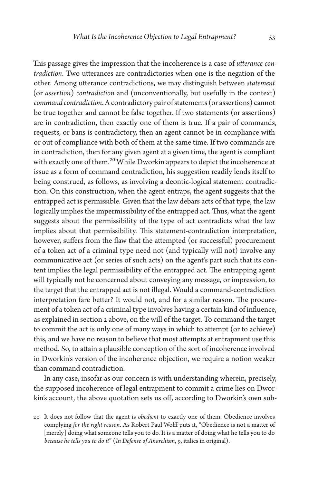This passage gives the impression that the incoherence is a case of *utterance contradiction*. Two utterances are contradictories when one is the negation of the other. Among utterance contradictions, we may distinguish between *statement*  (or *assertion*) *contradiction* and (unconventionally, but usefully in the context) *command contradiction*. A contradictory pair of statements (or assertions) cannot be true together and cannot be false together. If two statements (or assertions) are in contradiction, then exactly one of them is true. If a pair of commands, requests, or bans is contradictory, then an agent cannot be in compliance with or out of compliance with both of them at the same time. If two commands are in contradiction, then for any given agent at a given time, the agent is compliant with exactly one of them.<sup>20</sup> While Dworkin appears to depict the incoherence at issue as a form of command contradiction, his suggestion readily lends itself to being construed, as follows, as involving a deontic-logical statement contradiction. On this construction, when the agent entraps, the agent suggests that the entrapped act is permissible. Given that the law debars acts of that type, the law logically implies the impermissibility of the entrapped act. Thus, what the agent suggests about the permissibility of the type of act contradicts what the law implies about that permissibility. This statement-contradiction interpretation, however, suffers from the flaw that the attempted (or successful) procurement of a token act of a criminal type need not (and typically will not) involve any communicative act (or series of such acts) on the agent's part such that its content implies the legal permissibility of the entrapped act. The entrapping agent will typically not be concerned about conveying any message, or impression, to the target that the entrapped act is not illegal. Would a command-contradiction interpretation fare better? It would not, and for a similar reason. The procurement of a token act of a criminal type involves having a certain kind of influence, as explained in section 2 above, on the will of the target. To command the target to commit the act is only one of many ways in which to attempt (or to achieve) this, and we have no reason to believe that most attempts at entrapment use this method. So, to attain a plausible conception of the sort of incoherence involved in Dworkin's version of the incoherence objection, we require a notion weaker than command contradiction.

In any case, insofar as our concern is with understanding wherein, precisely, the supposed incoherence of legal entrapment to commit a crime lies on Dworkin's account, the above quotation sets us off, according to Dworkin's own sub-

<sup>20</sup> It does not follow that the agent is *obedient* to exactly one of them. Obedience involves complying *for the right reason*. As Robert Paul Wolff puts it, "Obedience is not a matter of [merely] doing what someone tells you to do. It is a matter of doing what he tells you to do *because he tells you to do it*" (*In Defense of Anarchism*, 9, italics in original).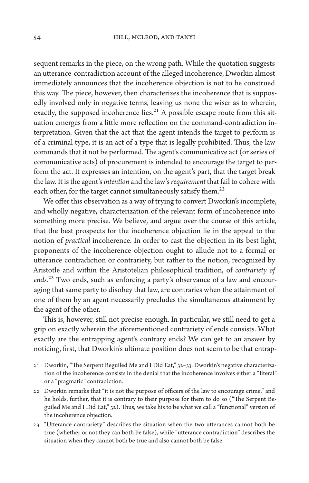sequent remarks in the piece, on the wrong path. While the quotation suggests an utterance-contradiction account of the alleged incoherence, Dworkin almost immediately announces that the incoherence objection is not to be construed this way. The piece, however, then characterizes the incoherence that is supposedly involved only in negative terms, leaving us none the wiser as to wherein, exactly, the supposed incoherence lies. $^{21}$  A possible escape route from this situation emerges from a little more reflection on the command-contradiction interpretation. Given that the act that the agent intends the target to perform is of a criminal type, it is an act of a type that is legally prohibited. Thus, the law commands that it not be performed. The agent's communicative act (or series of communicative acts) of procurement is intended to encourage the target to perform the act. It expresses an intention, on the agent's part, that the target break the law. It is the agent's *intention* and the law's *requirement* that fail to cohere with each other, for the target cannot simultaneously satisfy them.<sup>22</sup>

We offer this observation as a way of trying to convert Dworkin's incomplete, and wholly negative, characterization of the relevant form of incoherence into something more precise. We believe, and argue over the course of this article, that the best prospects for the incoherence objection lie in the appeal to the notion of *practical* incoherence. In order to cast the objection in its best light, proponents of the incoherence objection ought to allude not to a formal or utterance contradiction or contrariety, but rather to the notion, recognized by Aristotle and within the Aristotelian philosophical tradition, of *contrariety of ends*.23 Two ends, such as enforcing a party's observance of a law and encouraging that same party to disobey that law, are contraries when the attainment of one of them by an agent necessarily precludes the simultaneous attainment by the agent of the other.

This is, however, still not precise enough. In particular, we still need to get a grip on exactly wherein the aforementioned contrariety of ends consists. What exactly are the entrapping agent's contrary ends? We can get to an answer by noticing, first, that Dworkin's ultimate position does not seem to be that entrap-

- 21 Dworkin, "The Serpent Beguiled Me and I Did Eat," 32–33. Dworkin's negative characterization of the incoherence consists in the denial that the incoherence involves either a "literal" or a "pragmatic" contradiction.
- 22 Dworkin remarks that "it is not the purpose of officers of the law to encourage crime," and he holds, further, that it is contrary to their purpose for them to do so ("The Serpent Beguiled Me and I Did Eat," 32). Thus, we take his to be what we call a "functional" version of the incoherence objection.
- 23 "Utterance contrariety" describes the situation when the two utterances cannot both be true (whether or not they can both be false), while "utterance contradiction" describes the situation when they cannot both be true and also cannot both be false.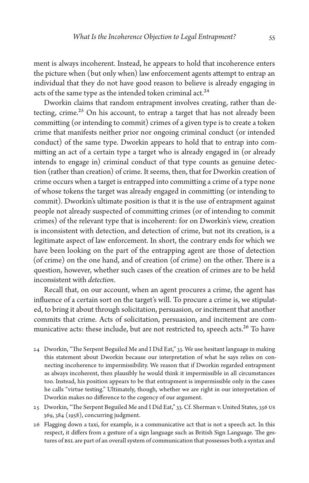ment is always incoherent. Instead, he appears to hold that incoherence enters the picture when (but only when) law enforcement agents attempt to entrap an individual that they do not have good reason to believe is already engaging in acts of the same type as the intended token criminal act.<sup>24</sup>

Dworkin claims that random entrapment involves creating, rather than detecting, crime.<sup>25</sup> On his account, to entrap a target that has not already been committing (or intending to commit) crimes of a given type is to create a token crime that manifests neither prior nor ongoing criminal conduct (or intended conduct) of the same type. Dworkin appears to hold that to entrap into committing an act of a certain type a target who is already engaged in (or already intends to engage in) criminal conduct of that type counts as genuine detection (rather than creation) of crime. It seems, then, that for Dworkin creation of crime occurs when a target is entrapped into committing a crime of a type none of whose tokens the target was already engaged in committing (or intending to commit). Dworkin's ultimate position is that it is the use of entrapment against people not already suspected of committing crimes (or of intending to commit crimes) of the relevant type that is incoherent: for on Dworkin's view, creation is inconsistent with detection, and detection of crime, but not its creation, is a legitimate aspect of law enforcement. In short, the contrary ends for which we have been looking on the part of the entrapping agent are those of detection (of crime) on the one hand, and of creation (of crime) on the other. There is a question, however, whether such cases of the creation of crimes are to be held inconsistent with *detection*.

Recall that, on our account, when an agent procures a crime, the agent has influence of a certain sort on the target's will. To procure a crime is, we stipulated, to bring it about through solicitation, persuasion, or incitement that another commits that crime. Acts of solicitation, persuasion, and incitement are communicative acts: these include, but are not restricted to, speech acts.<sup>26</sup> To have

- 24 Dworkin, "The Serpent Beguiled Me and I Did Eat," 33. We use hesitant language in making this statement about Dworkin because our interpretation of what he says relies on connecting incoherence to impermissibility. We reason that if Dworkin regarded entrapment as always incoherent, then plausibly he would think it impermissible in all circumstances too. Instead, his position appears to be that entrapment is impermissible only in the cases he calls "virtue testing." Ultimately, though, whether we are right in our interpretation of Dworkin makes no difference to the cogency of our argument.
- 25 Dworkin, "The Serpent Beguiled Me and I Did Eat," 33. Cf. Sherman v. United States, 356 US 369, 384 (1958), concurring judgment.
- 26 Flagging down a taxi, for example, is a communicative act that is not a speech act. In this respect, it differs from a gesture of a sign language such as British Sign Language. The gestures of BSL are part of an overall system of communication that possesses both a syntax and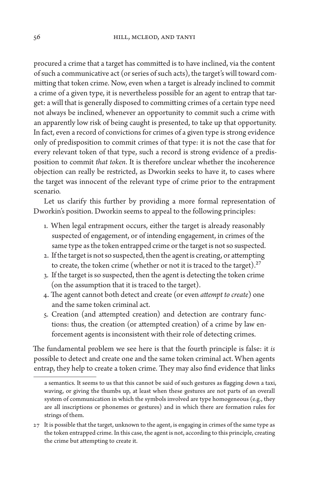procured a crime that a target has committed is to have inclined, via the content of such a communicative act (or series of such acts), the target's will toward committing that token crime. Now, even when a target is already inclined to commit a crime of a given type, it is nevertheless possible for an agent to entrap that target: a will that is generally disposed to committing crimes of a certain type need not always be inclined, whenever an opportunity to commit such a crime with an apparently low risk of being caught is presented, to take up that opportunity. In fact, even a record of convictions for crimes of a given type is strong evidence only of predisposition to commit crimes of that type: it is not the case that for every relevant token of that type, such a record is strong evidence of a predisposition to commit *that token*. It is therefore unclear whether the incoherence objection can really be restricted, as Dworkin seeks to have it, to cases where the target was innocent of the relevant type of crime prior to the entrapment scenario.

Let us clarify this further by providing a more formal representation of Dworkin's position. Dworkin seems to appeal to the following principles:

- 1. When legal entrapment occurs, either the target is already reasonably suspected of engagement, or of intending engagement, in crimes of the same type as the token entrapped crime or the target is not so suspected.
- 2. If the target is not so suspected, then the agent is creating, or attempting to create, the token crime (whether or not it is traced to the target). $27$
- 3. If the target is so suspected, then the agent is detecting the token crime (on the assumption that it is traced to the target).
- 4. The agent cannot both detect and create (or even *attempt to create*) one and the same token criminal act.
- 5. Creation (and attempted creation) and detection are contrary functions: thus, the creation (or attempted creation) of a crime by law enforcement agents is inconsistent with their role of detecting crimes.

The fundamental problem we see here is that the fourth principle is false: it *is* possible to detect and create one and the same token criminal act. When agents entrap, they help to create a token crime. They may also find evidence that links

a semantics. It seems to us that this cannot be said of such gestures as flagging down a taxi, waving, or giving the thumbs up, at least when these gestures are not parts of an overall system of communication in which the symbols involved are type homogeneous (e.g., they are all inscriptions or phonemes or gestures) and in which there are formation rules for strings of them.

<sup>27</sup> It is possible that the target, unknown to the agent, is engaging in crimes of the same type as the token entrapped crime. In this case, the agent is not, according to this principle, creating the crime but attempting to create it.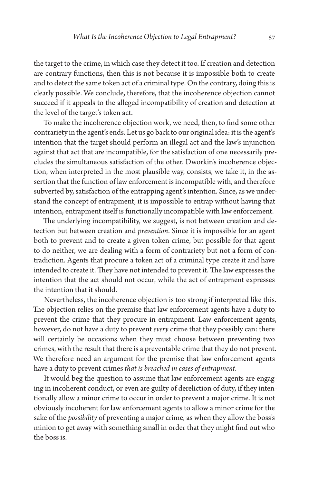the target to the crime, in which case they detect it too. If creation and detection are contrary functions, then this is not because it is impossible both to create and to detect the same token act of a criminal type. On the contrary, doing this is clearly possible. We conclude, therefore, that the incoherence objection cannot succeed if it appeals to the alleged incompatibility of creation and detection at the level of the target's token act.

To make the incoherence objection work, we need, then, to find some other contrariety in the agent's ends. Let us go back to our original idea: it is the agent's intention that the target should perform an illegal act and the law's injunction against that act that are incompatible, for the satisfaction of one necessarily precludes the simultaneous satisfaction of the other. Dworkin's incoherence objection, when interpreted in the most plausible way, consists, we take it, in the assertion that the function of law enforcement is incompatible with, and therefore subverted by, satisfaction of the entrapping agent's intention. Since, as we understand the concept of entrapment, it is impossible to entrap without having that intention, entrapment itself is functionally incompatible with law enforcement.

The underlying incompatibility, we suggest, is not between creation and detection but between creation and *prevention*. Since it is impossible for an agent both to prevent and to create a given token crime, but possible for that agent to do neither, we are dealing with a form of contrariety but not a form of contradiction. Agents that procure a token act of a criminal type create it and have intended to create it. They have not intended to prevent it. The law expresses the intention that the act should not occur, while the act of entrapment expresses the intention that it should.

Nevertheless, the incoherence objection is too strong if interpreted like this. The objection relies on the premise that law enforcement agents have a duty to prevent the crime that they procure in entrapment. Law enforcement agents, however, do not have a duty to prevent *every* crime that they possibly can: there will certainly be occasions when they must choose between preventing two crimes, with the result that there is a preventable crime that they do not prevent. We therefore need an argument for the premise that law enforcement agents have a duty to prevent crimes *that is breached in cases of entrapment*.

It would beg the question to assume that law enforcement agents are engaging in incoherent conduct, or even are guilty of dereliction of duty, if they intentionally allow a minor crime to occur in order to prevent a major crime. It is not obviously incoherent for law enforcement agents to allow a minor crime for the sake of the *possibility* of preventing a major crime, as when they allow the boss's minion to get away with something small in order that they might find out who the boss is.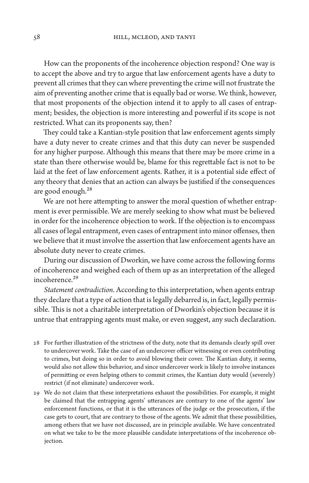How can the proponents of the incoherence objection respond? One way is to accept the above and try to argue that law enforcement agents have a duty to prevent all crimes that they can where preventing the crime will not frustrate the aim of preventing another crime that is equally bad or worse. We think, however, that most proponents of the objection intend it to apply to all cases of entrapment; besides, the objection is more interesting and powerful if its scope is not restricted. What can its proponents say, then?

They could take a Kantian-style position that law enforcement agents simply have a duty never to create crimes and that this duty can never be suspended for any higher purpose. Although this means that there may be more crime in a state than there otherwise would be, blame for this regrettable fact is not to be laid at the feet of law enforcement agents. Rather, it is a potential side effect of any theory that denies that an action can always be justified if the consequences are good enough.<sup>28</sup>

We are not here attempting to answer the moral question of whether entrapment is ever permissible. We are merely seeking to show what must be believed in order for the incoherence objection to work. If the objection is to encompass all cases of legal entrapment, even cases of entrapment into minor offenses, then we believe that it must involve the assertion that law enforcement agents have an absolute duty never to create crimes.

During our discussion of Dworkin, we have come across the following forms of incoherence and weighed each of them up as an interpretation of the alleged incoherence.<sup>29</sup>

*Statement contradiction*. According to this interpretation, when agents entrap they declare that a type of action that is legally debarred is, in fact, legally permissible. This is not a charitable interpretation of Dworkin's objection because it is untrue that entrapping agents must make, or even suggest, any such declaration.

- 28 For further illustration of the strictness of the duty, note that its demands clearly spill over to undercover work. Take the case of an undercover officer witnessing or even contributing to crimes, but doing so in order to avoid blowing their cover. The Kantian duty, it seems, would also not allow this behavior, and since undercover work is likely to involve instances of permitting or even helping others to commit crimes, the Kantian duty would (severely) restrict (if not eliminate) undercover work.
- 29 We do not claim that these interpretations exhaust the possibilities. For example, it might be claimed that the entrapping agents' utterances are contrary to one of the agents' law enforcement functions, or that it is the utterances of the judge or the prosecution, if the case gets to court, that are contrary to those of the agents. We admit that these possibilities, among others that we have not discussed, are in principle available. We have concentrated on what we take to be the more plausible candidate interpretations of the incoherence objection.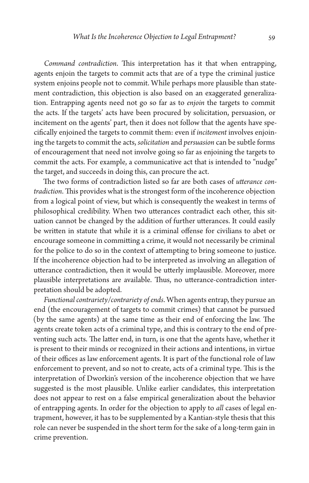*Command contradiction*. This interpretation has it that when entrapping, agents enjoin the targets to commit acts that are of a type the criminal justice system enjoins people not to commit. While perhaps more plausible than statement contradiction, this objection is also based on an exaggerated generalization. Entrapping agents need not go so far as to *enjoin* the targets to commit the acts. If the targets' acts have been procured by solicitation, persuasion, or incitement on the agents' part, then it does not follow that the agents have specifically enjoined the targets to commit them: even if *incitement* involves enjoining the targets to commit the acts, *solicitation* and *persuasion* can be subtle forms of encouragement that need not involve going so far as enjoining the targets to commit the acts. For example, a communicative act that is intended to "nudge" the target, and succeeds in doing this, can procure the act.

The two forms of contradiction listed so far are both cases of *utterance contradiction*. This provides what is the strongest form of the incoherence objection from a logical point of view, but which is consequently the weakest in terms of philosophical credibility. When two utterances contradict each other, this situation cannot be changed by the addition of further utterances. It could easily be written in statute that while it is a criminal offense for civilians to abet or encourage someone in committing a crime, it would not necessarily be criminal for the police to do so in the context of attempting to bring someone to justice. If the incoherence objection had to be interpreted as involving an allegation of utterance contradiction, then it would be utterly implausible. Moreover, more plausible interpretations are available. Thus, no utterance-contradiction interpretation should be adopted.

*Functional contrariety*/*contrariety of ends*. When agents entrap, they pursue an end (the encouragement of targets to commit crimes) that cannot be pursued (by the same agents) at the same time as their end of enforcing the law. The agents create token acts of a criminal type, and this is contrary to the end of preventing such acts. The latter end, in turn, is one that the agents have, whether it is present to their minds or recognized in their actions and intentions, in virtue of their offices as law enforcement agents. It is part of the functional role of law enforcement to prevent, and so not to create, acts of a criminal type. This is the interpretation of Dworkin's version of the incoherence objection that we have suggested is the most plausible. Unlike earlier candidates, this interpretation does not appear to rest on a false empirical generalization about the behavior of entrapping agents. In order for the objection to apply to *all* cases of legal entrapment, however, it has to be supplemented by a Kantian-style thesis that this role can never be suspended in the short term for the sake of a long-term gain in crime prevention.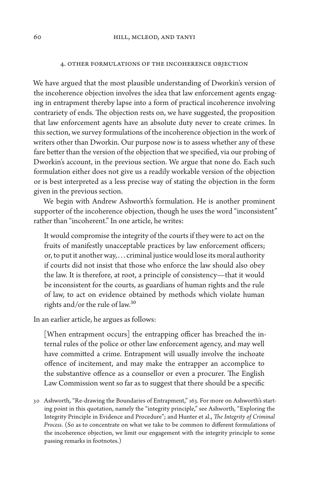#### 4. Other Formulations of the Incoherence Objection

We have argued that the most plausible understanding of Dworkin's version of the incoherence objection involves the idea that law enforcement agents engaging in entrapment thereby lapse into a form of practical incoherence involving contrariety of ends. The objection rests on, we have suggested, the proposition that law enforcement agents have an absolute duty never to create crimes. In this section, we survey formulations of the incoherence objection in the work of writers other than Dworkin. Our purpose now is to assess whether any of these fare better than the version of the objection that we specified, via our probing of Dworkin's account, in the previous section. We argue that none do. Each such formulation either does not give us a readily workable version of the objection or is best interpreted as a less precise way of stating the objection in the form given in the previous section.

We begin with Andrew Ashworth's formulation. He is another prominent supporter of the incoherence objection, though he uses the word "inconsistent" rather than "incoherent." In one article, he writes:

It would compromise the integrity of the courts if they were to act on the fruits of manifestly unacceptable practices by law enforcement officers; or, to put it another way, . . . criminal justice would lose its moral authority if courts did not insist that those who enforce the law should also obey the law. It is therefore, at root, a principle of consistency—that it would be inconsistent for the courts, as guardians of human rights and the rule of law, to act on evidence obtained by methods which violate human rights and/or the rule of law.30

In an earlier article, he argues as follows:

[When entrapment occurs] the entrapping officer has breached the internal rules of the police or other law enforcement agency, and may well have committed a crime. Entrapment will usually involve the inchoate offence of incitement, and may make the entrapper an accomplice to the substantive offence as a counsellor or even a procurer. The English Law Commission went so far as to suggest that there should be a specific

30 Ashworth, "Re-drawing the Boundaries of Entrapment," 163. For more on Ashworth's starting point in this quotation, namely the "integrity principle," see Ashworth, "Exploring the Integrity Principle in Evidence and Procedure"; and Hunter et al., *The Integrity of Criminal Process*. (So as to concentrate on what we take to be common to different formulations of the incoherence objection, we limit our engagement with the integrity principle to some passing remarks in footnotes.)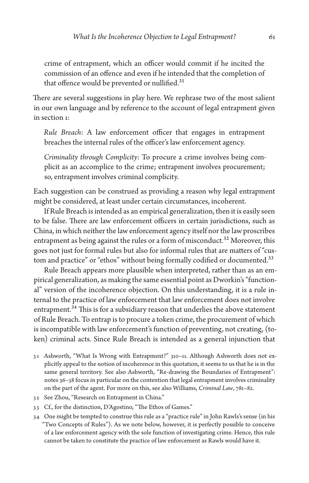crime of entrapment, which an officer would commit if he incited the commission of an offence and even if he intended that the completion of that offence would be prevented or nullified.<sup>31</sup>

There are several suggestions in play here. We rephrase two of the most salient in our own language and by reference to the account of legal entrapment given in section 1:

*Rule Breach*: A law enforcement officer that engages in entrapment breaches the internal rules of the officer's law enforcement agency.

*Criminality through Complicity*: To procure a crime involves being complicit as an accomplice to the crime; entrapment involves procurement; so, entrapment involves criminal complicity.

Each suggestion can be construed as providing a reason why legal entrapment might be considered, at least under certain circumstances, incoherent.

If Rule Breach is intended as an empirical generalization, then it is easily seen to be false. There are law enforcement officers in certain jurisdictions, such as China, in which neither the law enforcement agency itself nor the law proscribes entrapment as being against the rules or a form of misconduct.<sup>32</sup> Moreover, this goes not just for formal rules but also for informal rules that are matters of "custom and practice" or "ethos" without being formally codified or documented.<sup>33</sup>

Rule Breach appears more plausible when interpreted, rather than as an empirical generalization, as making the same essential point as Dworkin's "functional" version of the incoherence objection. On this understanding, it is a rule internal to the practice of law enforcement that law enforcement does not involve entrapment.<sup>34</sup> This is for a subsidiary reason that underlies the above statement of Rule Breach. To entrap is to procure a token crime, the procurement of which is incompatible with law enforcement's function of preventing, not creating, (token) criminal acts. Since Rule Breach is intended as a general injunction that

- 31 Ashworth, "What Is Wrong with Entrapment?" 310–11. Although Ashworth does not explicitly appeal to the notion of incoherence in this quotation, it seems to us that he is in the same general territory. See also Ashworth, "Re-drawing the Boundaries of Entrapment": notes 36–38 focus in particular on the contention that legal entrapment involves criminality on the part of the agent. For more on this, see also Williams, *Criminal Law*, 781–82.
- 32 See Zhou, "Research on Entrapment in China."
- 33 Cf., for the distinction, D'Agostino, "The Ethos of Games."
- 34 One might be tempted to construe this rule as a "practice rule" in John Rawls's sense (in his "Two Concepts of Rules"). As we note below, however, it is perfectly possible to conceive of a law enforcement agency with the sole function of investigating crime. Hence, this rule cannot be taken to constitute the practice of law enforcement as Rawls would have it.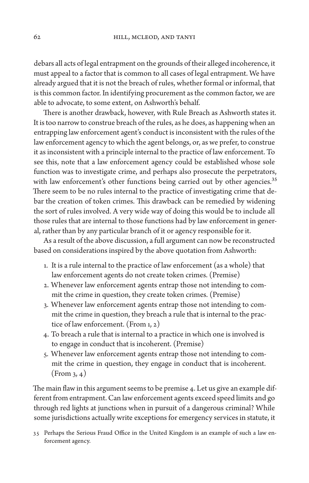debars all acts of legal entrapment on the grounds of their alleged incoherence, it must appeal to a factor that is common to all cases of legal entrapment. We have already argued that it is not the breach of rules, whether formal or informal, that is this common factor. In identifying procurement as the common factor, we are able to advocate, to some extent, on Ashworth's behalf.

There is another drawback, however, with Rule Breach as Ashworth states it. It is too narrow to construe breach of the rules, as he does, as happening when an entrapping law enforcement agent's conduct is inconsistent with the rules of the law enforcement agency to which the agent belongs, or, as we prefer, to construe it as inconsistent with a principle internal to the practice of law enforcement. To see this, note that a law enforcement agency could be established whose sole function was to investigate crime, and perhaps also prosecute the perpetrators, with law enforcement's other functions being carried out by other agencies.<sup>35</sup> There seem to be no rules internal to the practice of investigating crime that debar the creation of token crimes. This drawback can be remedied by widening the sort of rules involved. A very wide way of doing this would be to include all those rules that are internal to those functions had by law enforcement in general, rather than by any particular branch of it or agency responsible for it.

As a result of the above discussion, a full argument can now be reconstructed based on considerations inspired by the above quotation from Ashworth:

- 1. It is a rule internal to the practice of law enforcement (as a whole) that law enforcement agents do not create token crimes. (Premise)
- 2. Whenever law enforcement agents entrap those not intending to commit the crime in question, they create token crimes. (Premise)
- 3. Whenever law enforcement agents entrap those not intending to commit the crime in question, they breach a rule that is internal to the practice of law enforcement. (From 1, 2)
- 4. To breach a rule that is internal to a practice in which one is involved is to engage in conduct that is incoherent. (Premise)
- 5. Whenever law enforcement agents entrap those not intending to commit the crime in question, they engage in conduct that is incoherent.  $(From_3, 4)$

The main flaw in this argument seems to be premise 4. Let us give an example different from entrapment. Can law enforcement agents exceed speed limits and go through red lights at junctions when in pursuit of a dangerous criminal? While some jurisdictions actually write exceptions for emergency services in statute, it

35 Perhaps the Serious Fraud Office in the United Kingdom is an example of such a law enforcement agency.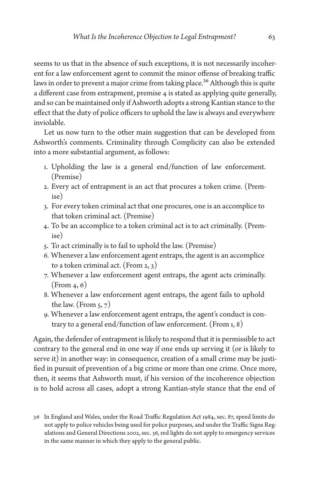seems to us that in the absence of such exceptions, it is not necessarily incoherent for a law enforcement agent to commit the minor offense of breaking traffic laws in order to prevent a major crime from taking place.<sup>36</sup> Although this is quite a different case from entrapment, premise 4 is stated as applying quite generally, and so can be maintained only if Ashworth adopts a strong Kantian stance to the effect that the duty of police officers to uphold the law is always and everywhere inviolable.

Let us now turn to the other main suggestion that can be developed from Ashworth's comments. Criminality through Complicity can also be extended into a more substantial argument, as follows:

- 1. Upholding the law is a general end/function of law enforcement. (Premise)
- 2. Every act of entrapment is an act that procures a token crime. (Premise)
- 3. For every token criminal act that one procures, one is an accomplice to that token criminal act. (Premise)
- 4. To be an accomplice to a token criminal act is to act criminally. (Premise)
- 5. To act criminally is to fail to uphold the law. (Premise)
- 6. Whenever a law enforcement agent entraps, the agent is an accomplice to a token criminal act. (From 2, 3)
- 7. Whenever a law enforcement agent entraps, the agent acts criminally. (From 4, 6)
- 8. Whenever a law enforcement agent entraps, the agent fails to uphold the law. (From  $5, 7$ )
- 9. Whenever a law enforcement agent entraps, the agent's conduct is contrary to a general end/function of law enforcement. (From 1, 8)

Again, the defender of entrapment is likely to respond that it is permissible to act contrary to the general end in one way if one ends up serving it (or is likely to serve it) in another way: in consequence, creation of a small crime may be justified in pursuit of prevention of a big crime or more than one crime. Once more, then, it seems that Ashworth must, if his version of the incoherence objection is to hold across all cases, adopt a strong Kantian-style stance that the end of

<sup>36</sup> In England and Wales, under the Road Traffic Regulation Act 1984, sec. 87, speed limits do not apply to police vehicles being used for police purposes, and under the Traffic Signs Regulations and General Directions 2002, sec. 36, red lights do not apply to emergency services in the same manner in which they apply to the general public.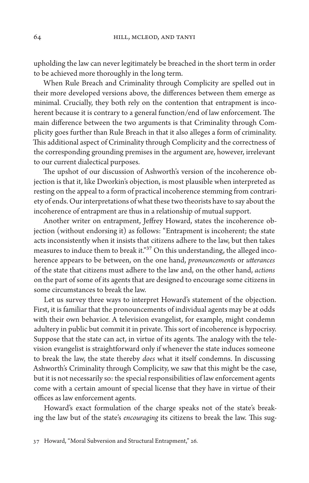upholding the law can never legitimately be breached in the short term in order to be achieved more thoroughly in the long term.

When Rule Breach and Criminality through Complicity are spelled out in their more developed versions above, the differences between them emerge as minimal. Crucially, they both rely on the contention that entrapment is incoherent because it is contrary to a general function/end of law enforcement. The main difference between the two arguments is that Criminality through Complicity goes further than Rule Breach in that it also alleges a form of criminality. This additional aspect of Criminality through Complicity and the correctness of the corresponding grounding premises in the argument are, however, irrelevant to our current dialectical purposes.

The upshot of our discussion of Ashworth's version of the incoherence objection is that it, like Dworkin's objection, is most plausible when interpreted as resting on the appeal to a form of practical incoherence stemming from contrariety of ends. Our interpretations of what these two theorists have to say about the incoherence of entrapment are thus in a relationship of mutual support.

Another writer on entrapment, Jeffrey Howard, states the incoherence objection (without endorsing it) as follows: "Entrapment is incoherent; the state acts inconsistently when it insists that citizens adhere to the law, but then takes measures to induce them to break it."<sup>37</sup> On this understanding, the alleged incoherence appears to be between, on the one hand, *pronouncements* or *utterances* of the state that citizens must adhere to the law and, on the other hand, *actions* on the part of some of its agents that are designed to encourage some citizens in some circumstances to break the law.

Let us survey three ways to interpret Howard's statement of the objection. First, it is familiar that the pronouncements of individual agents may be at odds with their own behavior. A television evangelist, for example, might condemn adultery in public but commit it in private. This sort of incoherence is hypocrisy. Suppose that the state can act, in virtue of its agents. The analogy with the television evangelist is straightforward only if whenever the state induces someone to break the law, the state thereby *does* what it itself condemns. In discussing Ashworth's Criminality through Complicity, we saw that this might be the case, but it is not necessarily so: the special responsibilities of law enforcement agents come with a certain amount of special license that they have in virtue of their offices as law enforcement agents.

Howard's exact formulation of the charge speaks not of the state's breaking the law but of the state's *encouraging* its citizens to break the law. This sug-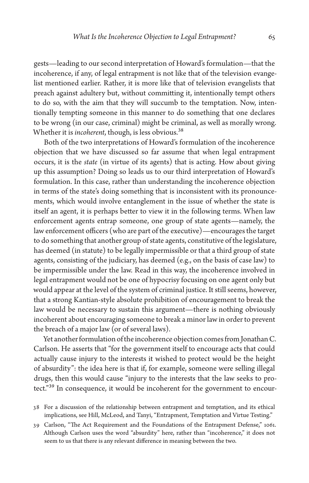gests—leading to our second interpretation of Howard's formulation—that the incoherence, if any, of legal entrapment is not like that of the television evangelist mentioned earlier. Rather, it is more like that of television evangelists that preach against adultery but, without committing it, intentionally tempt others to do so, with the aim that they will succumb to the temptation. Now, intentionally tempting someone in this manner to do something that one declares to be wrong (in our case, criminal) might be criminal, as well as morally wrong. Whether it is *incoherent*, though, is less obvious.38

Both of the two interpretations of Howard's formulation of the incoherence objection that we have discussed so far assume that when legal entrapment occurs, it is the *state* (in virtue of its agents) that is acting. How about giving up this assumption? Doing so leads us to our third interpretation of Howard's formulation. In this case, rather than understanding the incoherence objection in terms of the state's doing something that is inconsistent with its pronouncements, which would involve entanglement in the issue of whether the state is itself an agent, it is perhaps better to view it in the following terms. When law enforcement agents entrap someone, one group of state agents—namely, the law enforcement officers (who are part of the executive)—encourages the target to do something that another group of state agents, constitutive of the legislature, has deemed (in statute) to be legally impermissible or that a third group of state agents, consisting of the judiciary, has deemed (e.g., on the basis of case law) to be impermissible under the law. Read in this way, the incoherence involved in legal entrapment would not be one of hypocrisy focusing on one agent only but would appear at the level of the system of criminal justice. It still seems, however, that a strong Kantian-style absolute prohibition of encouragement to break the law would be necessary to sustain this argument—there is nothing obviously incoherent about encouraging someone to break a minor law in order to prevent the breach of a major law (or of several laws).

Yet another formulation of the incoherence objection comes from Jonathan C. Carlson. He asserts that "for the government itself to encourage acts that could actually cause injury to the interests it wished to protect would be the height of absurdity": the idea here is that if, for example, someone were selling illegal drugs, then this would cause "injury to the interests that the law seeks to protect."39 In consequence, it would be incoherent for the government to encour-

- 38 For a discussion of the relationship between entrapment and temptation, and its ethical implications, see Hill, McLeod, and Tanyi, "Entrapment, Temptation and Virtue Testing."
- 39 Carlson, "The Act Requirement and the Foundations of the Entrapment Defense," 1061. Although Carlson uses the word "absurdity" here, rather than "incoherence," it does not seem to us that there is any relevant difference in meaning between the two.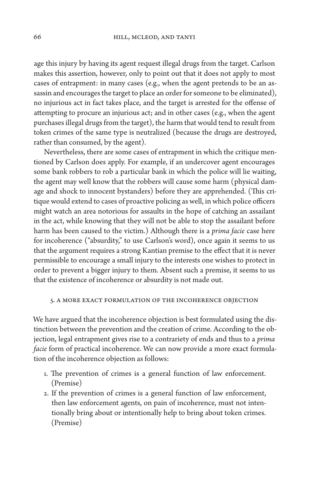age this injury by having its agent request illegal drugs from the target. Carlson makes this assertion, however, only to point out that it does not apply to most cases of entrapment: in many cases (e.g., when the agent pretends to be an assassin and encourages the target to place an order for someone to be eliminated), no injurious act in fact takes place, and the target is arrested for the offense of attempting to procure an injurious act; and in other cases (e.g., when the agent purchases illegal drugs from the target), the harm that would tend to result from token crimes of the same type is neutralized (because the drugs are destroyed, rather than consumed, by the agent).

Nevertheless, there are some cases of entrapment in which the critique mentioned by Carlson does apply. For example, if an undercover agent encourages some bank robbers to rob a particular bank in which the police will lie waiting, the agent may well know that the robbers will cause some harm (physical damage and shock to innocent bystanders) before they are apprehended. (This critique would extend to cases of proactive policing as well, in which police officers might watch an area notorious for assaults in the hope of catching an assailant in the act, while knowing that they will not be able to stop the assailant before harm has been caused to the victim.) Although there is a *prima facie* case here for incoherence ("absurdity," to use Carlson's word), once again it seems to us that the argument requires a strong Kantian premise to the effect that it is never permissible to encourage a small injury to the interests one wishes to protect in order to prevent a bigger injury to them. Absent such a premise, it seems to us that the existence of incoherence or absurdity is not made out.

#### 5. A More Exact Formulation of the Incoherence Objection

We have argued that the incoherence objection is best formulated using the distinction between the prevention and the creation of crime. According to the objection, legal entrapment gives rise to a contrariety of ends and thus to a *prima facie* form of practical incoherence. We can now provide a more exact formulation of the incoherence objection as follows:

- 1. The prevention of crimes is a general function of law enforcement. (Premise)
- 2. If the prevention of crimes is a general function of law enforcement, then law enforcement agents, on pain of incoherence, must not intentionally bring about or intentionally help to bring about token crimes. (Premise)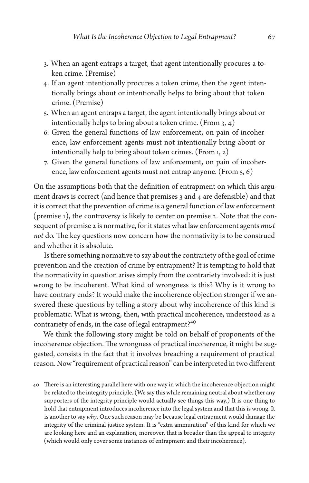- 3. When an agent entraps a target, that agent intentionally procures a token crime. (Premise)
- 4. If an agent intentionally procures a token crime, then the agent intentionally brings about or intentionally helps to bring about that token crime. (Premise)
- 5. When an agent entraps a target, the agent intentionally brings about or intentionally helps to bring about a token crime. (From  $3, 4$ )
- 6. Given the general functions of law enforcement, on pain of incoherence, law enforcement agents must not intentionally bring about or intentionally help to bring about token crimes. (From 1, 2)
- 7. Given the general functions of law enforcement, on pain of incoherence, law enforcement agents must not entrap anyone. (From 5, 6)

On the assumptions both that the definition of entrapment on which this argument draws is correct (and hence that premises 3 and 4 are defensible) and that it is correct that the prevention of crime is a general function of law enforcement (premise 1), the controversy is likely to center on premise 2. Note that the consequent of premise 2 is normative, for it states what law enforcement agents *must not* do. The key questions now concern how the normativity is to be construed and whether it is absolute.

Is there something normative to say about the contrariety of the goal of crime prevention and the creation of crime by entrapment? It is tempting to hold that the normativity in question arises simply from the contrariety involved: it is just wrong to be incoherent. What kind of wrongness is this? Why is it wrong to have contrary ends? It would make the incoherence objection stronger if we answered these questions by telling a story about why incoherence of this kind is problematic. What is wrong, then, with practical incoherence, understood as a contrariety of ends, in the case of legal entrapment?<sup>40</sup>

We think the following story might be told on behalf of proponents of the incoherence objection. The wrongness of practical incoherence, it might be suggested, consists in the fact that it involves breaching a requirement of practical reason. Now "requirement of practical reason" can be interpreted in two different

<sup>40</sup> There is an interesting parallel here with one way in which the incoherence objection might be related to the integrity principle. (We say this while remaining neutral about whether any supporters of the integrity principle would actually see things this way.) It is one thing to hold that entrapment introduces incoherence into the legal system and that this is wrong. It is another to say *why*. One such reason may be because legal entrapment would damage the integrity of the criminal justice system. It is "extra ammunition" of this kind for which we are looking here and an explanation, moreover, that is broader than the appeal to integrity (which would only cover some instances of entrapment and their incoherence).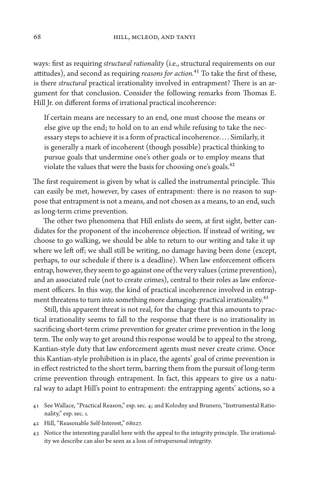ways: first as requiring *structural rationality* (i.e., structural requirements on our attitudes), and second as requiring *reasons for action.*41 To take the first of these, is there *structural* practical irrationality involved in entrapment? There is an argument for that conclusion. Consider the following remarks from Thomas E. Hill Jr. on different forms of irrational practical incoherence:

If certain means are necessary to an end, one must choose the means or else give up the end; to hold on to an end while refusing to take the necessary steps to achieve it is a form of practical incoherence. . . . Similarly, it is generally a mark of incoherent (though possible) practical thinking to pursue goals that undermine one's other goals or to employ means that violate the values that were the basis for choosing one's goals.<sup>42</sup>

The first requirement is given by what is called the instrumental principle. This can easily be met, however, by cases of entrapment: there is no reason to suppose that entrapment is not a means, and not chosen as a means, to an end, such as long-term crime prevention.

The other two phenomena that Hill enlists do seem, at first sight, better candidates for the proponent of the incoherence objection. If instead of writing, we choose to go walking, we should be able to return to our writing and take it up where we left off; we shall still be writing, no damage having been done (except, perhaps, to our schedule if there is a deadline). When law enforcement officers entrap, however, they seem to go against one of the very values (crime prevention), and an associated rule (not to create crimes), central to their roles as law enforcement officers. In this way, the kind of practical incoherence involved in entrapment threatens to turn into something more damaging: practical irrationality.<sup>43</sup>

Still, this apparent threat is not real, for the charge that this amounts to practical irrationality seems to fall to the response that there is no irrationality in sacrificing short-term crime prevention for greater crime prevention in the long term. The only way to get around this response would be to appeal to the strong, Kantian-style duty that law enforcement agents must never create crime. Once this Kantian-style prohibition is in place, the agents' goal of crime prevention is in effect restricted to the short term, barring them from the pursuit of long-term crime prevention through entrapment. In fact, this appears to give us a natural way to adapt Hill's point to entrapment: the entrapping agents' actions, so a

- 41 See Wallace, "Practical Reason," esp. sec. 4; and Kolodny and Brunero, "Instrumental Rationality," esp. sec. 1.
- 42 Hill, "Reasonable Self-Interest," 68n27.
- 43 Notice the interesting parallel here with the appeal to the integrity principle. The irrationality we describe can also be seen as a loss of *intra*personal integrity.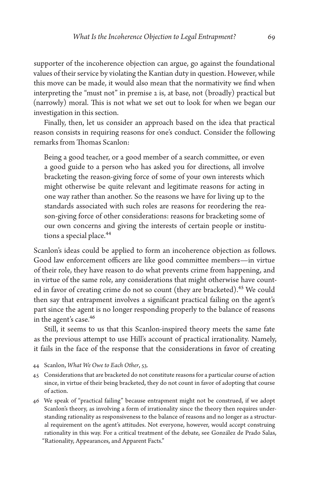supporter of the incoherence objection can argue, go against the foundational values of their service by violating the Kantian duty in question. However, while this move can be made, it would also mean that the normativity we find when interpreting the "must not" in premise 2 is, at base, not (broadly) practical but (narrowly) moral. This is not what we set out to look for when we began our investigation in this section.

Finally, then, let us consider an approach based on the idea that practical reason consists in requiring reasons for one's conduct. Consider the following remarks from Thomas Scanlon:

Being a good teacher, or a good member of a search committee, or even a good guide to a person who has asked you for directions, all involve bracketing the reason-giving force of some of your own interests which might otherwise be quite relevant and legitimate reasons for acting in one way rather than another. So the reasons we have for living up to the standards associated with such roles are reasons for reordering the reason-giving force of other considerations: reasons for bracketing some of our own concerns and giving the interests of certain people or institutions a special place.<sup>44</sup>

Scanlon's ideas could be applied to form an incoherence objection as follows. Good law enforcement officers are like good committee members—in virtue of their role, they have reason to do what prevents crime from happening, and in virtue of the same role, any considerations that might otherwise have counted in favor of creating crime do not so count (they are bracketed).<sup>45</sup> We could then say that entrapment involves a significant practical failing on the agent's part since the agent is no longer responding properly to the balance of reasons in the agent's case.<sup>46</sup>

Still, it seems to us that this Scanlon-inspired theory meets the same fate as the previous attempt to use Hill's account of practical irrationality. Namely, it fails in the face of the response that the considerations in favor of creating

- 44 Scanlon, *What We Owe to Each Other*, 53.
- 45 Considerations that are bracketed do not constitute reasons for a particular course of action since, in virtue of their being bracketed, they do not count in favor of adopting that course of action.
- 46 We speak of "practical failing" because entrapment might not be construed, if we adopt Scanlon's theory, as involving a form of irrationality since the theory then requires understanding rationality as responsiveness to the balance of reasons and no longer as a structural requirement on the agent's attitudes. Not everyone, however, would accept construing rationality in this way. For a critical treatment of the debate, see González de Prado Salas, "Rationality, Appearances, and Apparent Facts."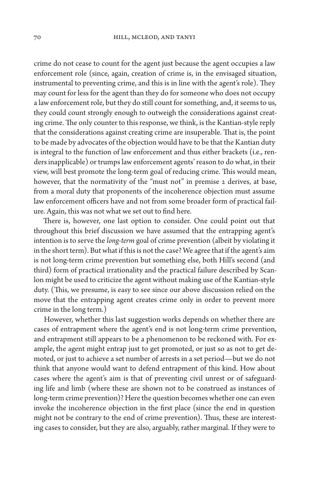crime do not cease to count for the agent just because the agent occupies a law enforcement role (since, again, creation of crime is, in the envisaged situation, instrumental to preventing crime, and this is in line with the agent's role). They may count for less for the agent than they do for someone who does not occupy a law enforcement role, but they do still count for something, and, it seems to us, they could count strongly enough to outweigh the considerations against creating crime. The only counter to this response, we think, is the Kantian-style reply that the considerations against creating crime are insuperable. That is, the point to be made by advocates of the objection would have to be that the Kantian duty is integral to the function of law enforcement and thus either brackets (i.e., renders inapplicable) or trumps law enforcement agents' reason to do what, in their view, will best promote the long-term goal of reducing crime. This would mean, however, that the normativity of the "must not" in premise 2 derives, at base, from a moral duty that proponents of the incoherence objection must assume law enforcement officers have and not from some broader form of practical failure. Again, this was not what we set out to find here.

There is, however, one last option to consider. One could point out that throughout this brief discussion we have assumed that the entrapping agent's intention is to serve the *long-term* goal of crime prevention (albeit by violating it in the short term). But what if this is not the case? We agree that if the agent's aim is not long-term crime prevention but something else, both Hill's second (and third) form of practical irrationality and the practical failure described by Scanlon might be used to criticize the agent without making use of the Kantian-style duty. (This, we presume, is easy to see since our above discussion relied on the move that the entrapping agent creates crime only in order to prevent more crime in the long term.)

However, whether this last suggestion works depends on whether there are cases of entrapment where the agent's end is not long-term crime prevention, and entrapment still appears to be a phenomenon to be reckoned with. For example, the agent might entrap just to get promoted, or just so as not to get demoted, or just to achieve a set number of arrests in a set period—but we do not think that anyone would want to defend entrapment of this kind. How about cases where the agent's aim is that of preventing civil unrest or of safeguarding life and limb (where these are shown not to be construed as instances of long-term crime prevention)? Here the question becomes whether one can even invoke the incoherence objection in the first place (since the end in question might not be contrary to the end of crime prevention). Thus, these are interesting cases to consider, but they are also, arguably, rather marginal. If they were to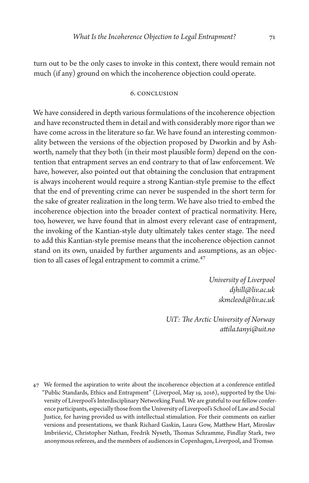turn out to be the only cases to invoke in this context, there would remain not much (if any) ground on which the incoherence objection could operate.

## 6. Conclusion

We have considered in depth various formulations of the incoherence objection and have reconstructed them in detail and with considerably more rigor than we have come across in the literature so far. We have found an interesting commonality between the versions of the objection proposed by Dworkin and by Ashworth, namely that they both (in their most plausible form) depend on the contention that entrapment serves an end contrary to that of law enforcement. We have, however, also pointed out that obtaining the conclusion that entrapment is always incoherent would require a strong Kantian-style premise to the effect that the end of preventing crime can never be suspended in the short term for the sake of greater realization in the long term. We have also tried to embed the incoherence objection into the broader context of practical normativity. Here, too, however, we have found that in almost every relevant case of entrapment, the invoking of the Kantian-style duty ultimately takes center stage. The need to add this Kantian-style premise means that the incoherence objection cannot stand on its own, unaided by further arguments and assumptions, as an objection to all cases of legal entrapment to commit a crime.<sup>47</sup>

> *University of Liverpool [djhill@liv.ac.uk](mailto:djhill@liv.ac.uk) [skmcleod@liv.ac.uk](mailto:skmcleod@liv.ac.uk )*

*UiT: The Arctic University of Norway [attila.tanyi@uit.no](mailto:attila.tanyi@uit.no )*

47 We formed the aspiration to write about the incoherence objection at a conference entitled "Public Standards, Ethics and Entrapment" (Liverpool, May 19, 2016), supported by the University of Liverpool's Interdisciplinary Networking Fund. We are grateful to our fellow conference participants, especially those from the University of Liverpool's School of Law and Social Justice, for having provided us with intellectual stimulation. For their comments on earlier versions and presentations, we thank Richard Gaskin, Laura Gow, Matthew Hart, Miroslav Imbrišević, Christopher Nathan, Fredrik Nyseth, Thomas Schramme, Findlay Stark, two anonymous referees, and the members of audiences in Copenhagen, Liverpool, and Tromsø.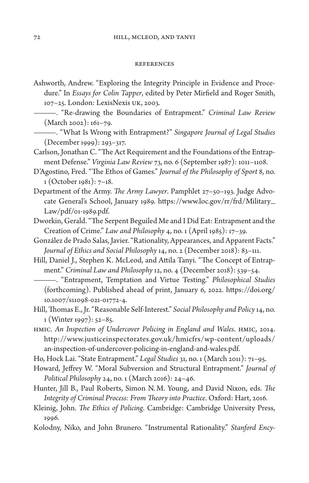#### References

- Ashworth, Andrew. "Exploring the Integrity Principle in Evidence and Procedure." In *Essays for Colin Tapper*, edited by Peter Mirfield and Roger Smith, 107–25. London: LexisNexis UK, 2003.
- ———. "Re-drawing the Boundaries of Entrapment." *Criminal Law Review* (March 2002): 161–79.
- ———. "What Is Wrong with Entrapment?" *Singapore Journal of Legal Studies* (December 1999): 293–317.
- Carlson, Jonathan C. "The Act Requirement and the Foundations of the Entrapment Defense." *Virginia Law Review* 73, no. 6 (September 1987): 1011–1108.
- D'Agostino, Fred. "The Ethos of Games." *Journal of the Philosophy of Sport* 8, no. 1 (October 1981): 7–18.
- Department of the Army. *The Army Lawyer*. Pamphlet 27–50–193. Judge Advocate General's School, January 1989. [https://www.loc.gov/rr/frd/Military\\_](https://www.loc.gov/rr/frd/Military_Law/pdf/01-1989.pdf) [Law/pdf/01-1989.pdf.](https://www.loc.gov/rr/frd/Military_Law/pdf/01-1989.pdf)
- Dworkin, Gerald. "The Serpent Beguiled Me and I Did Eat: Entrapment and the Creation of Crime." *Law and Philosophy* 4, no. 1 (April 1985): 17–39.
- González de Prado Salas, Javier. "Rationality, Appearances, and Apparent Facts." *Journal of Ethics and Social Philosophy* 14, no. 2 (December 2018): 83–111.
- Hill, Daniel J., Stephen K. McLeod, and Attila Tanyi. "The Concept of Entrapment." *Criminal Law and Philosophy* 12, no. 4 (December 2018): 539–54.

———. "Entrapment, Temptation and Virtue Testing." *Philosophical Studies* (forthcoming). Published ahead of print, January 6, 2022. [https://doi.org/](https://doi.org/10.1007/s11098-021-01772-4) [10.1007/s11098-021-01772-4](https://doi.org/10.1007/s11098-021-01772-4).

- Hill, Thomas E., Jr. "Reasonable Self-Interest." *Social Philosophy and Policy* 14, no. 1 (Winter 1997): 52–85.
- HMIC. *An Inspection of Undercover Policing in England and Wales*. HMIC, 2014. [http://www.justiceinspectorates.gov.uk/hmicfrs/wp-content/uploads/](http://www.justiceinspectorates.gov.uk/hmicfrs/wp-content/uploads/an-inspection-of-undercover-policing-in-england-and-wales.pdf) [an-inspection-of-undercover-policing-in-england-and-wales.pdf.](http://www.justiceinspectorates.gov.uk/hmicfrs/wp-content/uploads/an-inspection-of-undercover-policing-in-england-and-wales.pdf)

Ho, Hock Lai. "State Entrapment." *Legal Studies* 31, no. 1 (March 2011): 71–95.

- Howard, Jeffrey W. "Moral Subversion and Structural Entrapment." *Journal of Political Philosophy* 24, no. 1 (March 2016): 24–46.
- Hunter, Jill B., Paul Roberts, Simon N.M. Young, and David Nixon, eds. *The Integrity of Criminal Process: From Theory into Practice*. Oxford: Hart, 2016.
- Kleinig, John. *The Ethics of Policing*. Cambridge: Cambridge University Press, 1996.
- Kolodny, Niko, and John Brunero. "Instrumental Rationality." *Stanford Ency-*